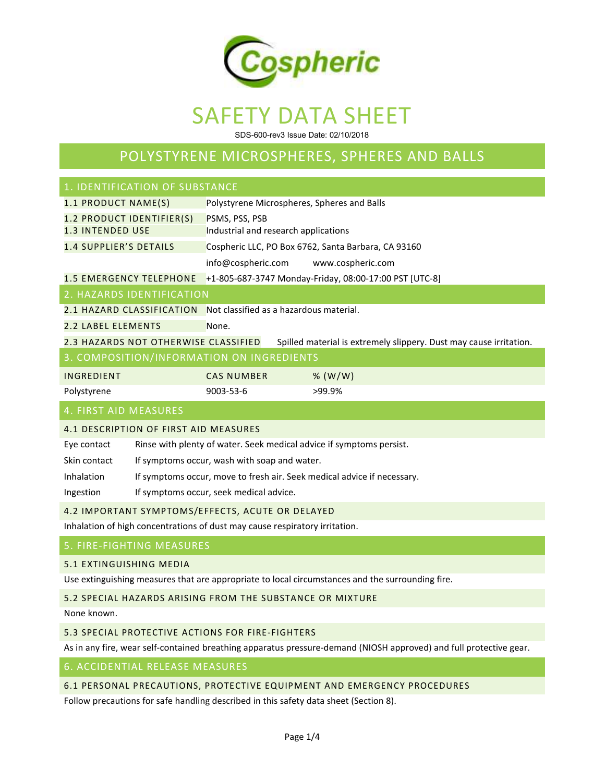

SDS-600-rev3 Issue Date: 02/10/2018

## POLYSTYRENE MICROSPHERES, SPHERES AND BALLS

| 1. IDENTIFICATION OF SUBSTANCE                                                                             |                                                                         |  |  |  |
|------------------------------------------------------------------------------------------------------------|-------------------------------------------------------------------------|--|--|--|
| 1.1 PRODUCT NAME(S)                                                                                        | Polystyrene Microspheres, Spheres and Balls                             |  |  |  |
| 1.2 PRODUCT IDENTIFIER(S)                                                                                  | PSMS, PSS, PSB                                                          |  |  |  |
| <b>1.3 INTENDED USE</b>                                                                                    | Industrial and research applications                                    |  |  |  |
| <b>1.4 SUPPLIER'S DETAILS</b>                                                                              | Cospheric LLC, PO Box 6762, Santa Barbara, CA 93160                     |  |  |  |
|                                                                                                            | info@cospheric.com<br>www.cospheric.com                                 |  |  |  |
| <b>1.5 EMERGENCY TELEPHONE</b>                                                                             | +1-805-687-3747 Monday-Friday, 08:00-17:00 PST [UTC-8]                  |  |  |  |
| 2. HAZARDS IDENTIFICATION                                                                                  |                                                                         |  |  |  |
| 2.1 HAZARD CLASSIFICATION                                                                                  | Not classified as a hazardous material.                                 |  |  |  |
| <b>2.2 LABEL ELEMENTS</b>                                                                                  | None.                                                                   |  |  |  |
| 2.3 HAZARDS NOT OTHERWISE CLASSIFIED<br>Spilled material is extremely slippery. Dust may cause irritation. |                                                                         |  |  |  |
| 3. COMPOSITION/INFORMATION ON INGREDIENTS                                                                  |                                                                         |  |  |  |
| INGREDIENT                                                                                                 | <b>CAS NUMBER</b><br>% $(W/W)$                                          |  |  |  |
| Polystyrene                                                                                                | 9003-53-6<br>>99.9%                                                     |  |  |  |
| 4. FIRST AID MEASURES                                                                                      |                                                                         |  |  |  |
| 4.1 DESCRIPTION OF FIRST AID MEASURES                                                                      |                                                                         |  |  |  |
| Eye contact                                                                                                | Rinse with plenty of water. Seek medical advice if symptoms persist.    |  |  |  |
| Skin contact                                                                                               | If symptoms occur, wash with soap and water.                            |  |  |  |
| Inhalation                                                                                                 | If symptoms occur, move to fresh air. Seek medical advice if necessary. |  |  |  |
| Ingestion                                                                                                  | If symptoms occur, seek medical advice.                                 |  |  |  |
| 4.2 IMPORTANT SYMPTOMS/EFFECTS, ACUTE OR DELAYED                                                           |                                                                         |  |  |  |
| Inhalation of high concentrations of dust may cause respiratory irritation.                                |                                                                         |  |  |  |
| 5. FIRE-FIGHTING MEASURES                                                                                  |                                                                         |  |  |  |
| 5.1 EXTINGUISHING MEDIA                                                                                    |                                                                         |  |  |  |

Use extinguishing measures that are appropriate to local circumstances and the surrounding fire.

#### 5.2 SPECIAL HAZARDS ARISING FROM THE SUBSTANCE OR MIXTURE

None known.

#### 5.3 SPECIAL PROTECTIVE ACTIONS FOR FIRE-FIGHTERS

As in any fire, wear self-contained breathing apparatus pressure-demand (NIOSH approved) and full protective gear.

#### 6. ACCIDENTIAL RELEASE MEASURES

#### 6.1 PERSONAL PRECAUTIONS, PROTECTIVE EQUIPMENT AND EMERGENCY PROCEDURES

Follow precautions for safe handling described in this safety data sheet (Section 8).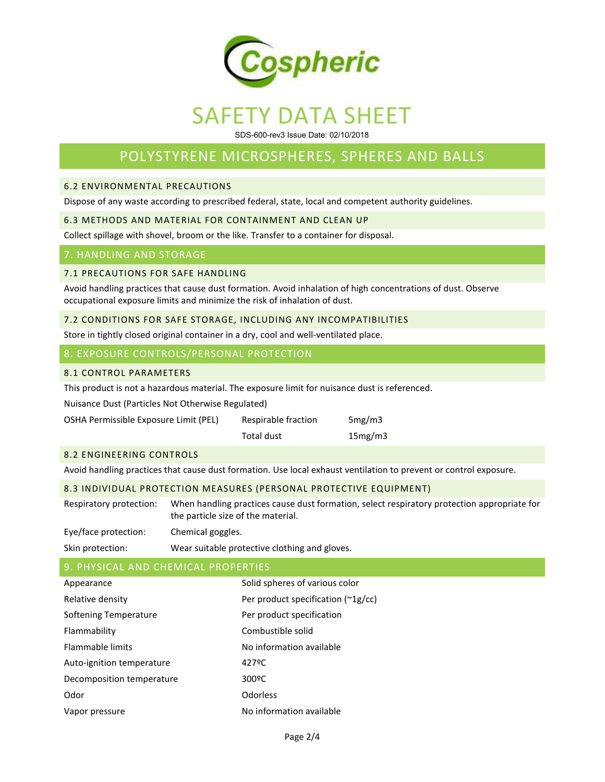

SDS-600-rev3 Issue Date: 02/10/2018

## POLYSTYRENE MICROSPHERES, SPHERES AND BALLS

#### 6.2 ENVIRONMENTAL PRECAUTIONS

Dispose of any waste according to prescribed federal, state, local and competent authority guidelines.

#### 6.3 METHODS AND MATERIAL FOR CONTAINMENT AND CLEAN UP

Collect spillage with shovel, broom or the like. Transfer to a container for disposal.

#### 7. HANDLING AND STORAGE

#### 7.1 PRECAUTIONS FOR SAFE HANDLING

Avoid handling practices that cause dust formation. Avoid inhalation of high concentrations of dust. Observe occupational exposure limits and minimize the risk of inhalation of dust.

#### 7.2 CONDITIONS FOR SAFE STORAGE, INCLUDING ANY INCOMPATIBILITIES

Store in tightly closed original container in a dry, cool and well-ventilated place.

#### 8. EXPOSURE CONTROLS/PERSONAL PROTECTION

#### 8.1 CONTROL PARAMETERS

This product is not a hazardous material. The exposure limit for nuisance dust is referenced.

Nuisance Dust (Particles Not Otherwise Regulated)

| Respirable fraction | 5mg/m3  |
|---------------------|---------|
| Total dust          | 15mg/m3 |
|                     |         |

#### 8.2 ENGINEERING CONTROLS

Avoid handling practices that cause dust formation. Use local exhaust ventilation to prevent or control exposure.

#### 8.3 INDIVIDUAL PROTECTION MEASURES (PERSONAL PROTECTIVE EQUIPMENT)

Respiratory protection: When handling practices cause dust formation, select respiratory protection appropriate for the particle size of the material.

| Eye/face protection: | Chemical goggles.                             |
|----------------------|-----------------------------------------------|
| Skin protection:     | Wear suitable protective clothing and gloves. |

#### 9. PHYSICAL AND CHEMICAL PROPERTIES

| Appearance                | Solid spheres of various color          |
|---------------------------|-----------------------------------------|
| Relative density          | Per product specification $(^{2}1g/cc)$ |
| Softening Temperature     | Per product specification               |
| Flammability              | Combustible solid                       |
| <b>Flammable limits</b>   | No information available                |
| Auto-ignition temperature | 427°C                                   |
| Decomposition temperature | 300 <sup>o</sup> C                      |
| Odor                      | Odorless                                |
| Vapor pressure            | No information available                |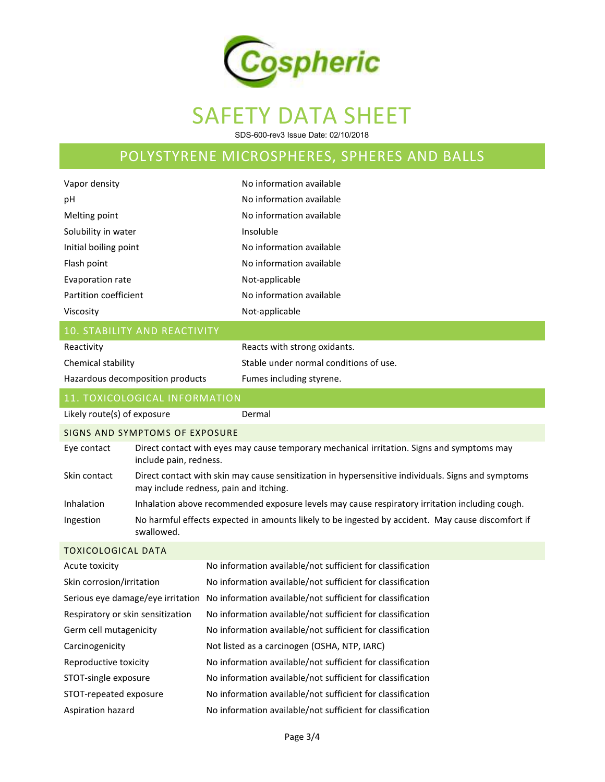

SDS-600-rev3 Issue Date: 02/10/2018

## POLYSTYRENE MICROSPHERES, SPHERES AND BALLS

| Vapor density                     |                                     | No information available                                                                                                                     |  |
|-----------------------------------|-------------------------------------|----------------------------------------------------------------------------------------------------------------------------------------------|--|
| pH                                |                                     | No information available                                                                                                                     |  |
| Melting point                     |                                     | No information available                                                                                                                     |  |
| Solubility in water               |                                     | Insoluble                                                                                                                                    |  |
| Initial boiling point             |                                     | No information available                                                                                                                     |  |
| Flash point                       |                                     | No information available                                                                                                                     |  |
| Evaporation rate                  |                                     | Not-applicable                                                                                                                               |  |
| Partition coefficient             |                                     | No information available                                                                                                                     |  |
| Viscosity                         |                                     | Not-applicable                                                                                                                               |  |
|                                   | <b>10. STABILITY AND REACTIVITY</b> |                                                                                                                                              |  |
| Reactivity                        |                                     | Reacts with strong oxidants.                                                                                                                 |  |
| Chemical stability                |                                     | Stable under normal conditions of use.                                                                                                       |  |
| Hazardous decomposition products  |                                     | Fumes including styrene.                                                                                                                     |  |
|                                   | 11. TOXICOLOGICAL INFORMATION       |                                                                                                                                              |  |
| Likely route(s) of exposure       |                                     | Dermal                                                                                                                                       |  |
|                                   | SIGNS AND SYMPTOMS OF EXPOSURE      |                                                                                                                                              |  |
| Eye contact                       | include pain, redness.              | Direct contact with eyes may cause temporary mechanical irritation. Signs and symptoms may                                                   |  |
| Skin contact                      |                                     | Direct contact with skin may cause sensitization in hypersensitive individuals. Signs and symptoms<br>may include redness, pain and itching. |  |
| Inhalation                        |                                     | Inhalation above recommended exposure levels may cause respiratory irritation including cough.                                               |  |
| Ingestion                         | swallowed.                          | No harmful effects expected in amounts likely to be ingested by accident. May cause discomfort if                                            |  |
| <b>TOXICOLOGICAL DATA</b>         |                                     |                                                                                                                                              |  |
| Acute toxicity                    |                                     | No information available/not sufficient for classification                                                                                   |  |
| Skin corrosion/irritation         |                                     | No information available/not sufficient for classification                                                                                   |  |
|                                   | Serious eye damage/eye irritation   | No information available/not sufficient for classification                                                                                   |  |
| Respiratory or skin sensitization |                                     | No information available/not sufficient for classification                                                                                   |  |
| Germ cell mutagenicity            |                                     | No information available/not sufficient for classification                                                                                   |  |
| Carcinogenicity                   |                                     | Not listed as a carcinogen (OSHA, NTP, IARC)                                                                                                 |  |
| Reproductive toxicity             |                                     | No information available/not sufficient for classification                                                                                   |  |
| STOT-single exposure              |                                     | No information available/not sufficient for classification                                                                                   |  |
| STOT-repeated exposure            |                                     | No information available/not sufficient for classification                                                                                   |  |
| Aspiration hazard                 |                                     | No information available/not sufficient for classification                                                                                   |  |